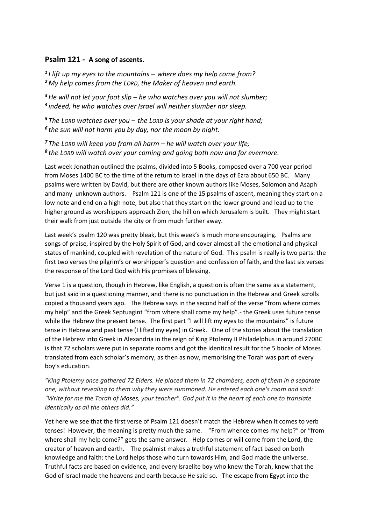## **Psalm 121 - A song of ascents.**

*1 I lift up my eyes to the mountains – where does my help come from? <sup>2</sup> My help comes from the LORD, the Maker of heaven and earth.*

*<sup>3</sup>He will not let your foot slip – he who watches over you will not slumber; 4 indeed, he who watches over Israel will neither slumber nor sleep.*

*<sup>5</sup> The LORD watches over you – the LORD is your shade at your right hand; 6 the sun will not harm you by day, nor the moon by night.*

*<sup>7</sup> The LORD will keep you from all harm – he will watch over your life; 8 the LORD will watch over your coming and going both now and for evermore.*

Last week Jonathan outlined the psalms, divided into 5 Books, composed over a 700 year period from Moses 1400 BC to the time of the return to Israel in the days of Ezra about 650 BC. Many psalms were written by David, but there are other known authors like Moses, Solomon and Asaph and many unknown authors. Psalm 121 is one of the 15 psalms of ascent, meaning they start on a low note and end on a high note, but also that they start on the lower ground and lead up to the higher ground as worshippers approach Zion, the hill on which Jerusalem is built. They might start their walk from just outside the city or from much further away.

Last week's psalm 120 was pretty bleak, but this week's is much more encouraging. Psalms are songs of praise, inspired by the Holy Spirit of God, and cover almost all the emotional and physical states of mankind, coupled with revelation of the nature of God. This psalm is really is two parts: the first two verses the pilgrim's or worshipper's question and confession of faith, and the last six verses the response of the Lord God with His promises of blessing.

Verse 1 is a question, though in Hebrew, like English, a question is often the same as a statement, but just said in a questioning manner, and there is no punctuation in the Hebrew and Greek scrolls copied a thousand years ago. The Hebrew says in the second half of the verse "from where comes my help" and the Greek Septuagint "from where shall come my help".- the Greek uses future tense while the Hebrew the present tense. The first part "I will lift my eyes to the mountains" is future tense in Hebrew and past tense (I lifted my eyes) in Greek. One of the stories about the translation of the Hebrew into Greek in Alexandria in the reign of King Ptolemy II Philadelphus in around 270BC is that 72 scholars were put in separate rooms and got the identical result for the 5 books of Moses translated from each scholar's memory, as then as now, memorising the Torah was part of every boy's education.

*"King Ptolemy once gathered 72 Elders. He placed them in 72 chambers, each of them in a separate one, without revealing to them why they were summoned. He entered each one's room and said: "Write for me the Torah of Moses, your teacher". God put it in the heart of each one to translate identically as all the others did."*

Yet here we see that the first verse of Psalm 121 doesn't match the Hebrew when it comes to verb tenses! However, the meaning is pretty much the same. "From whence comes my help?" or "from where shall my help come?" gets the same answer. Help comes or will come from the Lord, the creator of heaven and earth. The psalmist makes a truthful statement of fact based on both knowledge and faith: the Lord helps those who turn towards Him, and God made the universe. Truthful facts are based on evidence, and every Israelite boy who knew the Torah, knew that the God of Israel made the heavens and earth because He said so. The escape from Egypt into the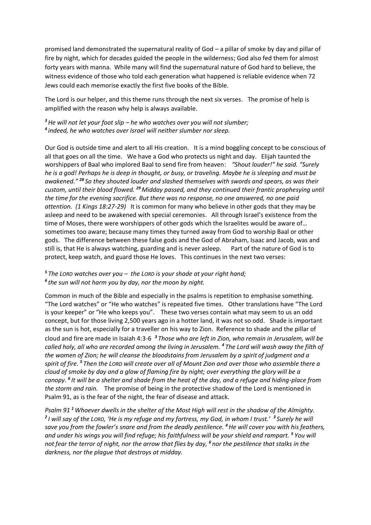promised land demonstrated the supernatural reality of God – a pillar of smoke by day and pillar of fire by night, which for decades guided the people in the wilderness; God also fed them for almost forty years with manna. While many will find the supernatural nature of God hard to believe, the witness evidence of those who told each generation what happened is reliable evidence when 72 Jews could each memorise exactly the first five books of the Bible.

The Lord is our helper, and this theme runs through the next six verses. The promise of help is amplified with the reason why help is always available.

*<sup>3</sup>He will not let your foot slip – he who watches over you will not slumber; 4 indeed, he who watches over Israel will neither slumber nor sleep.*

Our God is outside time and alert to all His creation. It is a mind boggling concept to be conscious of all that goes on all the time. We have a God who protects us night and day. Elijah taunted the worshippers of Baal who implored Baal to send fire from heaven: *"Shout louder!" he said. "Surely he is a god! Perhaps he is deep in thought, or busy, or traveling. Maybe he is sleeping and must be awakened." <sup>28</sup> So they shouted louder and slashed themselves with swords and spears, as was their custom, until their blood flowed. <sup>29</sup> Midday passed, and they continued their frantic prophesying until the time for the evening sacrifice. But there was no response, no one answered, no one paid attention. (1 Kings 18:27-29)* It is common for many who believe in other gods that they may be asleep and need to be awakened with special ceremonies. All through Israel's existence from the time of Moses, there were worshippers of other gods which the Israelites would be aware of… sometimes too aware; because many times they turned away from God to worship Baal or other gods. The difference between these false gods and the God of Abraham, Isaac and Jacob, was and still is, that He is always watching, guarding and is never asleep. Part of the nature of God is to protect, keep watch, and guard those He loves. This continues in the next two verses:

## *<sup>5</sup> The LORD watches over you – the LORD is your shade at your right hand; 6 the sun will not harm you by day, nor the moon by night.*

Common in much of the Bible and especially in the psalms is repetition to emphasise something. "The Lord watches" or "He who watches" is repeated five times. Other translations have "The Lord is your keeper" or "He who keeps you". These two verses contain what may seem to us an odd concept, but for those living 2,500 years ago in a hotter land, it was not so odd. Shade is important as the sun is hot, especially for a traveller on his way to Zion. Reference to shade and the pillar of cloud and fire are made in Isaiah 4:3-6 *<sup>3</sup> Those who are left in Zion, who remain in Jerusalem, will be called holy, all who are recorded among the living in Jerusalem. <sup>4</sup> The Lord will wash away the filth of the women of Zion; he will cleanse the bloodstains from Jerusalem by a spirit of judgment and a spirit of fire. <sup>5</sup> Then the LORD will create over all of Mount Zion and over those who assemble there a cloud of smoke by day and a glow of flaming fire by night; over everything the glory will be a canopy. <sup>6</sup> It will be a shelter and shade from the heat of the day, and a refuge and hiding-place from the storm and rain.* The promise of being in the protective shadow of the Lord is mentioned in Psalm 91, as is the fear of the night, the fear of disease and attack.

*Psalm 91 <sup>1</sup> Whoever dwells in the shelter of the Most High will rest in the shadow of the Almighty. 2 I will say of the LORD, 'He is my refuge and my fortress, my God, in whom I trust.' 3 Surely he will save you from the fowler's snare and from the deadly pestilence. <sup>4</sup>He will cover you with his feathers, and under his wings you will find refuge; his faithfulness will be your shield and rampart. <sup>5</sup> You will not fear the terror of night, nor the arrow that flies by day, <sup>6</sup> nor the pestilence that stalks in the darkness, nor the plague that destroys at midday.*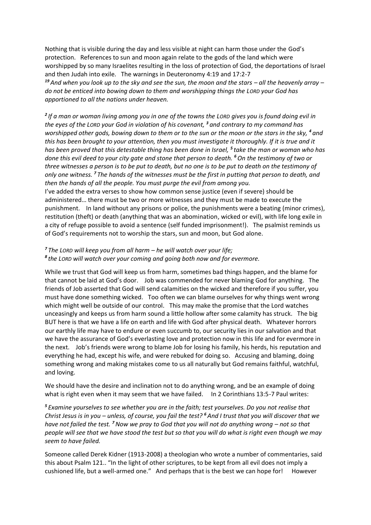Nothing that is visible during the day and less visible at night can harm those under the God's protection. References to sun and moon again relate to the gods of the land which were worshipped by so many Israelites resulting in the loss of protection of God, the deportations of Israel and then Judah into exile. The warnings in Deuteronomy 4:19 and 17:2-7 *<sup>19</sup> And when you look up to the sky and see the sun, the moon and the stars – all the heavenly array – do not be enticed into bowing down to them and worshipping things the LORD your God has apportioned to all the nations under heaven.*

*2 If a man or woman living among you in one of the towns the LORD gives you is found doing evil in the eyes of the LORD your God in violation of his covenant, <sup>3</sup> and contrary to my command has worshipped other gods, bowing down to them or to the sun or the moon or the stars in the sky, <sup>4</sup> and this has been brought to your attention, then you must investigate it thoroughly. If it is true and it has been proved that this detestable thing has been done in Israel, <sup>5</sup> take the man or woman who has done this evil deed to your city gate and stone that person to death. <sup>6</sup>On the testimony of two or three witnesses a person is to be put to death, but no one is to be put to death on the testimony of only one witness. <sup>7</sup> The hands of the witnesses must be the first in putting that person to death, and then the hands of all the people. You must purge the evil from among you.* 

I've added the extra verses to show how common sense justice (even if severe) should be administered… there must be two or more witnesses and they must be made to execute the punishment. In land without any prisons or police, the punishments were a beating (minor crimes), restitution (theft) or death (anything that was an abomination, wicked or evil), with life long exile in a city of refuge possible to avoid a sentence (self funded imprisonment!). The psalmist reminds us of God's requirements not to worship the stars, sun and moon, but God alone.

## *<sup>7</sup> The LORD will keep you from all harm – he will watch over your life; 8 the LORD will watch over your coming and going both now and for evermore.*

While we trust that God will keep us from harm, sometimes bad things happen, and the blame for that cannot be laid at God's door. Job was commended for never blaming God for anything. The friends of Job asserted that God will send calamities on the wicked and therefore if you suffer, you must have done something wicked. Too often we can blame ourselves for why things went wrong which might well be outside of our control. This may make the promise that the Lord watches unceasingly and keeps us from harm sound a little hollow after some calamity has struck. The big BUT here is that we have a life on earth and life with God after physical death. Whatever horrors our earthly life may have to endure or even succumb to, our security lies in our salvation and that we have the assurance of God's everlasting love and protection now in this life and for evermore in the next. Job's friends were wrong to blame Job for losing his family, his herds, his reputation and everything he had, except his wife, and were rebuked for doing so. Accusing and blaming, doing something wrong and making mistakes come to us all naturally but God remains faithful, watchful, and loving.

We should have the desire and inclination not to do anything wrong, and be an example of doing what is right even when it may seem that we have failed. In 2 Corinthians 13:5-7 Paul writes:

*<sup>5</sup> Examine yourselves to see whether you are in the faith; test yourselves. Do you not realise that Christ Jesus is in you – unless, of course, you fail the test? <sup>6</sup> And I trust that you will discover that we have not failed the test. <sup>7</sup>Now we pray to God that you will not do anything wrong – not so that people will see that we have stood the test but so that you will do what is right even though we may seem to have failed.* 

Someone called Derek Kidner (1913-2008) a theologian who wrote a number of commentaries, said this about Psalm 121.. "In the light of other scriptures, to be kept from all evil does not imply a cushioned life, but a well-armed one." And perhaps that is the best we can hope for! However